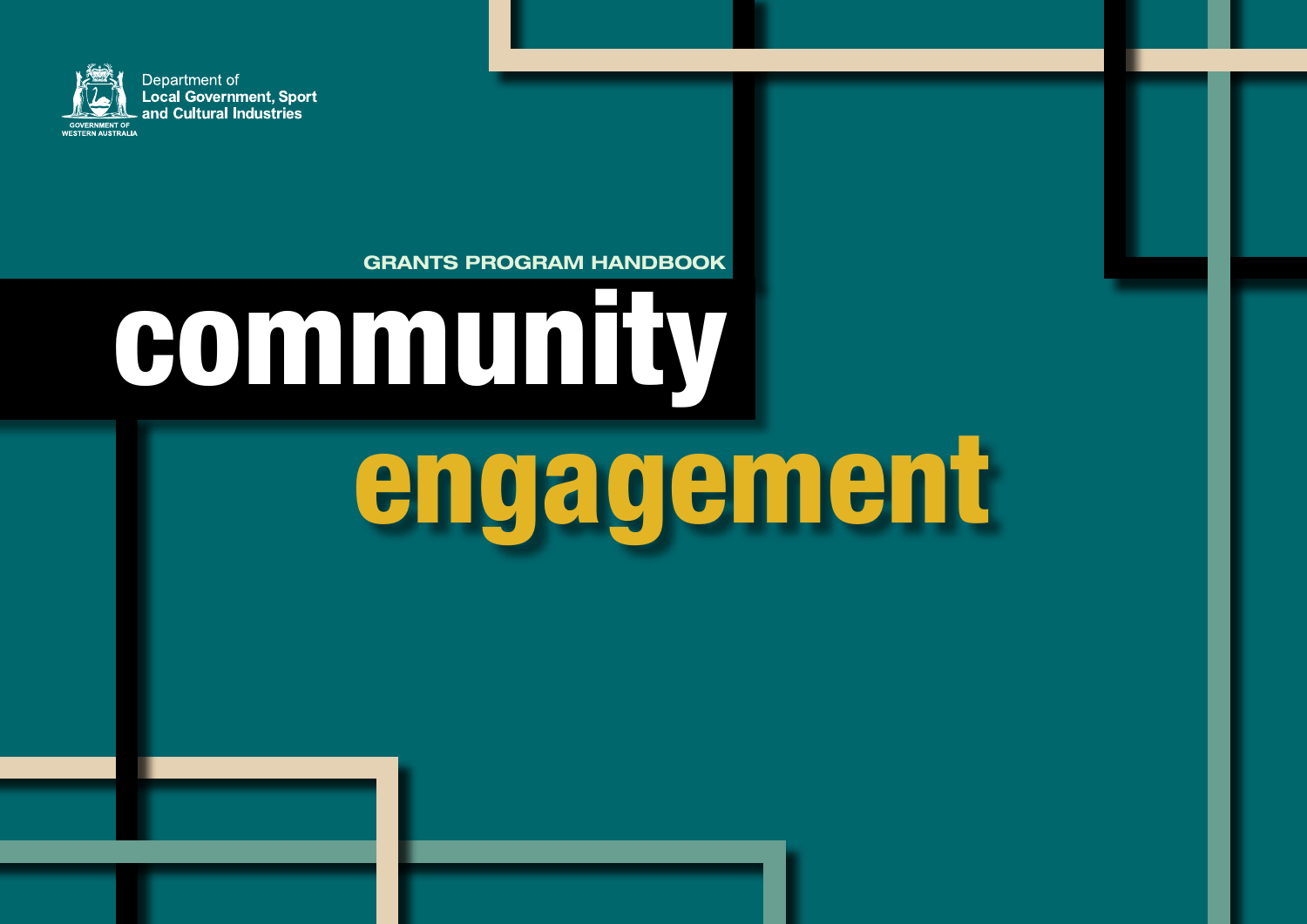

#### GRANTS PROGRAM HANDBOOK

# community engagement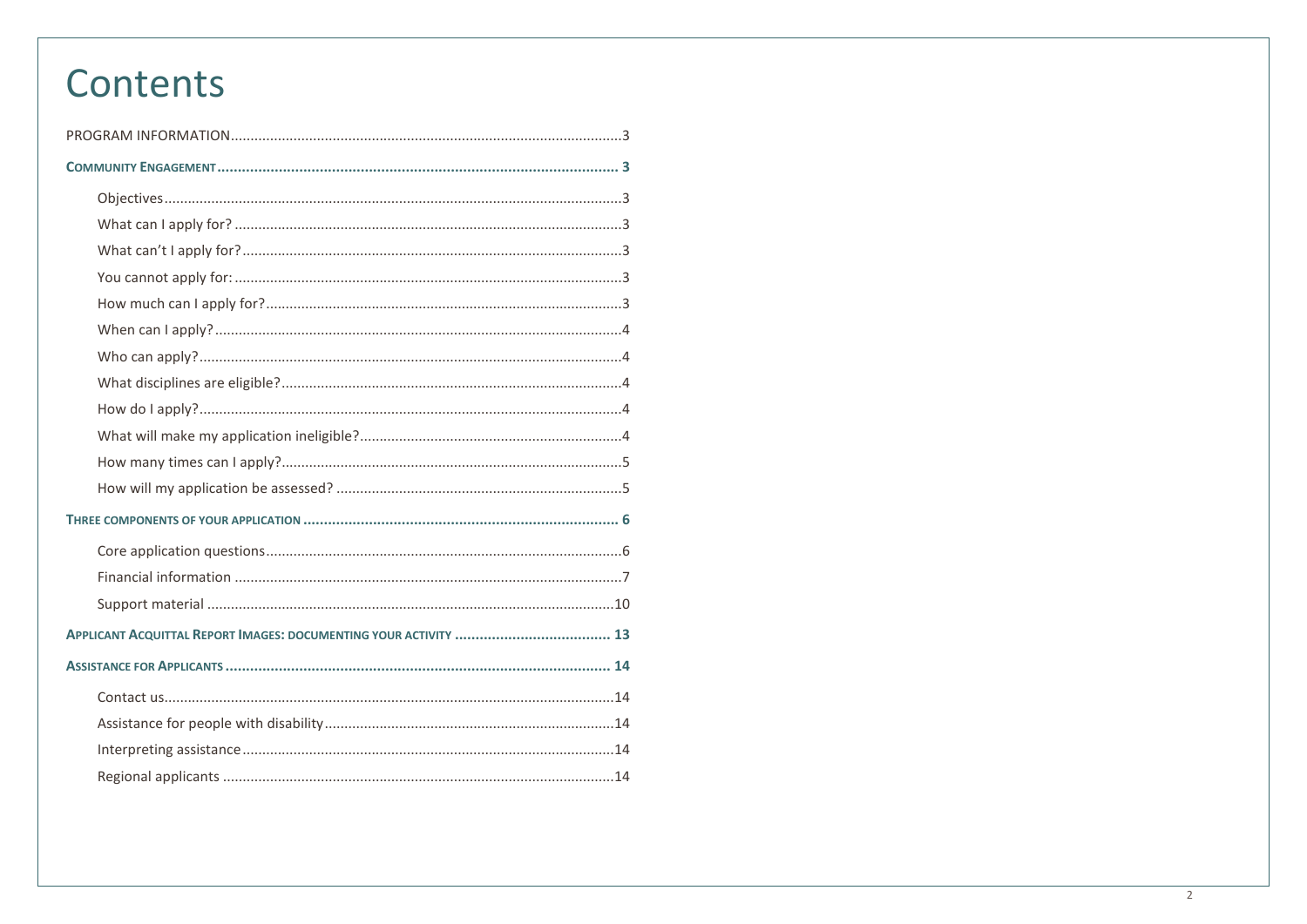## Contents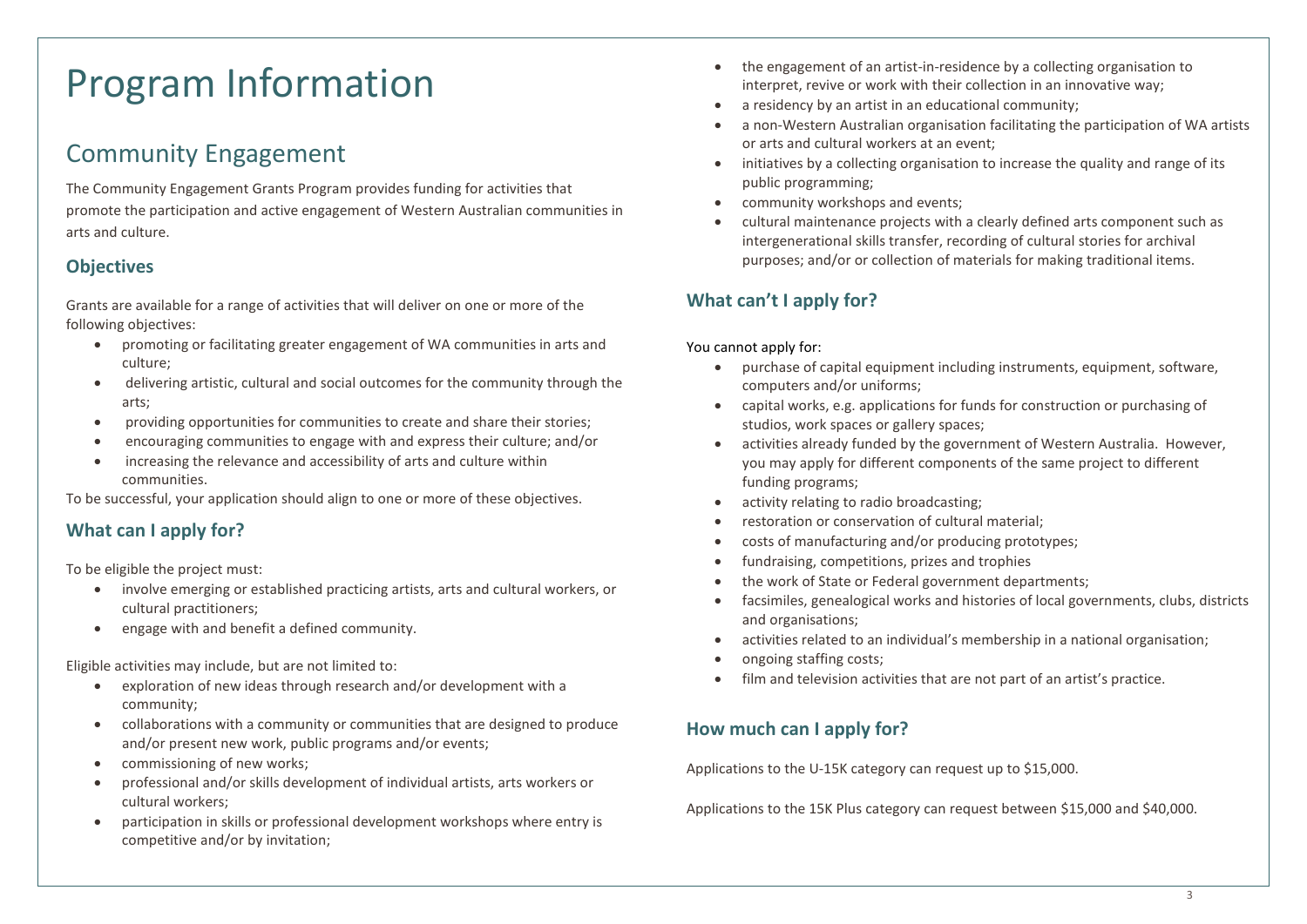# <span id="page-2-0"></span>Program Information

## <span id="page-2-1"></span>Community Engagement

The Community Engagement Grants Program provides funding for activities that promote the participation and active engagement of Western Australian communities in arts and culture.

#### <span id="page-2-2"></span>**Objectives**

Grants are available for a range of activities that will deliver on one or more of the following objectives:

- promoting or facilitating greater engagement of WA communities in arts and culture;
- delivering artistic, cultural and social outcomes for the community through the arts;
- providing opportunities for communities to create and share their stories;
- encouraging communities to engage with and express their culture; and/or
- increasing the relevance and accessibility of arts and culture within communities.

To be successful, your application should align to one or more of these objectives.

#### <span id="page-2-3"></span>**What can I apply for?**

To be eligible the project must:

- involve emerging or established practicing artists, arts and cultural workers, or cultural practitioners;
- engage with and benefit a defined community.

Eligible activities may include, but are not limited to:

- exploration of new ideas through research and/or development with a community;
- collaborations with a community or communities that are designed to produce and/or present new work, public programs and/or events;
- commissioning of new works;
- professional and/or skills development of individual artists, arts workers or cultural workers;
- participation in skills or professional development workshops where entry is competitive and/or by invitation;
- the engagement of an artist-in-residence by a collecting organisation to interpret, revive or work with their collection in an innovative way;
- a residency by an artist in an educational community;
- a non-Western Australian organisation facilitating the participation of WA artists or arts and cultural workers at an event;
- initiatives by a collecting organisation to increase the quality and range of its public programming;
- community workshops and events;
- cultural maintenance projects with a clearly defined arts component such as intergenerational skills transfer, recording of cultural stories for archival purposes; and/or or collection of materials for making traditional items.

#### <span id="page-2-4"></span>**What can't I apply for?**

#### <span id="page-2-5"></span>You cannot apply for:

- purchase of capital equipment including instruments, equipment, software, computers and/or uniforms;
- capital works, e.g. applications for funds for construction or purchasing of studios, work spaces or gallery spaces;
- activities already funded by the government of Western Australia. However, you may apply for different components of the same project to different funding programs;
- activity relating to radio broadcasting;
- restoration or conservation of cultural material;
- costs of manufacturing and/or producing prototypes;
- fundraising, competitions, prizes and trophies
- the work of State or Federal government departments;
- facsimiles, genealogical works and histories of local governments, clubs, districts and organisations;
- activities related to an individual's membership in a national organisation;
- ongoing staffing costs;
- film and television activities that are not part of an artist's practice.

#### <span id="page-2-6"></span>**How much can I apply for?**

Applications to the U-15K category can request up to \$15,000.

Applications to the 15K Plus category can request between \$15,000 and \$40,000.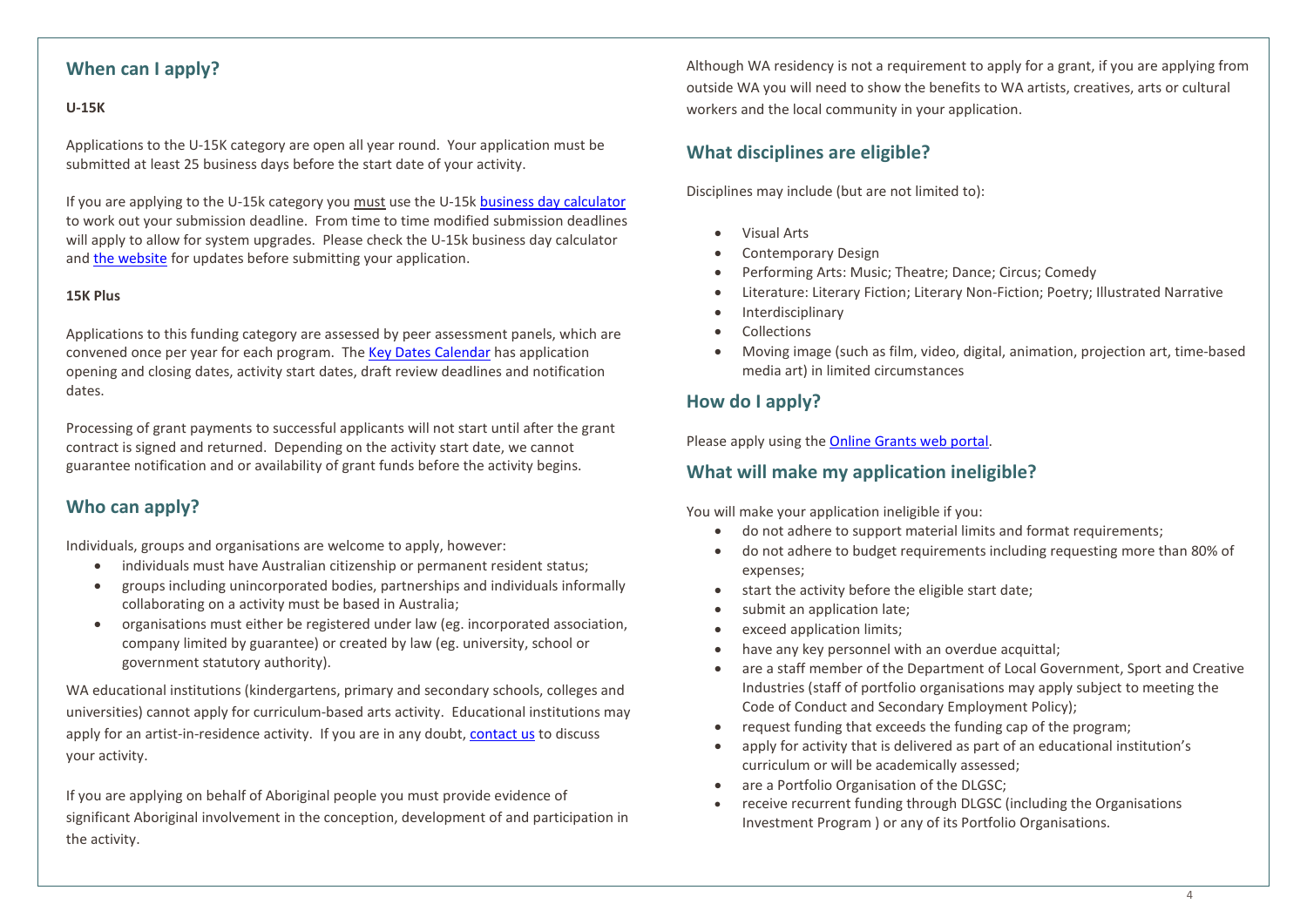#### <span id="page-3-0"></span>**When can I apply?**

#### **U-15K**

Applications to the U-15K category are open all year round. Your application must be submitted at least 25 business days before the start date of your activity.

If you are applying to the U-15k category you must use the U-15k [business day calculator](http://www.dca.wa.gov.au/Documents/Online_Grants/Applicant_Resources/U15k_Business_Day_Calculator.xlsx) to work out your submission deadline. From time to time modified submission deadlines will apply to allow for system upgrades. Please check the U-15k business day calculator and [the website](http://www.dca.wa.gov.au/funding/) for updates before submitting your application.

#### **15K Plus**

Applications to this funding category are assessed by peer assessment panels, which are convened once per year for each program. Th[e Key Dates Calendar](http://www.dca.wa.gov.au/Documents/Online_Grants/General_Information/DCA_Grants_Key_Dates_Calendar.pdf) has application opening and closing dates, activity start dates, draft review deadlines and notification dates.

Processing of grant payments to successful applicants will not start until after the grant contract is signed and returned. Depending on the activity start date, we cannot guarantee notification and or availability of grant funds before the activity begins.

#### <span id="page-3-1"></span>**Who can apply?**

Individuals, groups and organisations are welcome to apply, however:

- individuals must have Australian citizenship or permanent resident status;
- groups including unincorporated bodies, partnerships and individuals informally collaborating on a activity must be based in Australia;
- organisations must either be registered under law (eg. incorporated association, company limited by guarantee) or created by law (eg. university, school or government statutory authority).

WA educational institutions (kindergartens, primary and secondary schools, colleges and universities) cannot apply for curriculum-based arts activity. Educational institutions may apply for an artist-in-residence activity. If you are in any doubt[, contact us](#page-12-1) to discuss your activity.

If you are applying on behalf of Aboriginal people you must provide evidence of significant Aboriginal involvement in the conception, development of and participation in the activity.

Although WA residency is not a requirement to apply for a grant, if you are applying from outside WA you will need to show the benefits to WA artists, creatives, arts or cultural workers and the local community in your application.

#### <span id="page-3-2"></span>**What disciplines are eligible?**

Disciplines may include (but are not limited to):

- Visual Arts
- Contemporary Design
- Performing Arts: Music; Theatre; Dance; Circus; Comedy
- Literature: Literary Fiction; Literary Non-Fiction; Poetry; Illustrated Narrative
- Interdisciplinary
- **Collections**
- Moving image (such as film, video, digital, animation, projection art, time-based media art) in limited circumstances

#### <span id="page-3-3"></span>**How do I apply?**

Please apply using th[e Online Grants web portal.](https://onlinegrants.dca.wa.gov.au/)

#### <span id="page-3-4"></span>**What will make my application ineligible?**

You will make your application ineligible if you:

- do not adhere to support material limits and format requirements;
- do not adhere to budget requirements including requesting more than 80% of expenses;
- start the activity before the eligible start date;
- submit an application late;
- exceed application limits;
- have any key personnel with an overdue acquittal:
- are a staff member of the Department of Local Government, Sport and Creative Industries (staff of portfolio organisations may apply subject to meeting the Code of Conduct and Secondary Employment Policy);
- request funding that exceeds the funding cap of the program;
- apply for activity that is delivered as part of an educational institution's curriculum or will be academically assessed;
- are a Portfolio Organisation of the DLGSC;
- receive recurrent funding through DLGSC (including the Organisations Investment Program ) or any of its Portfolio Organisations.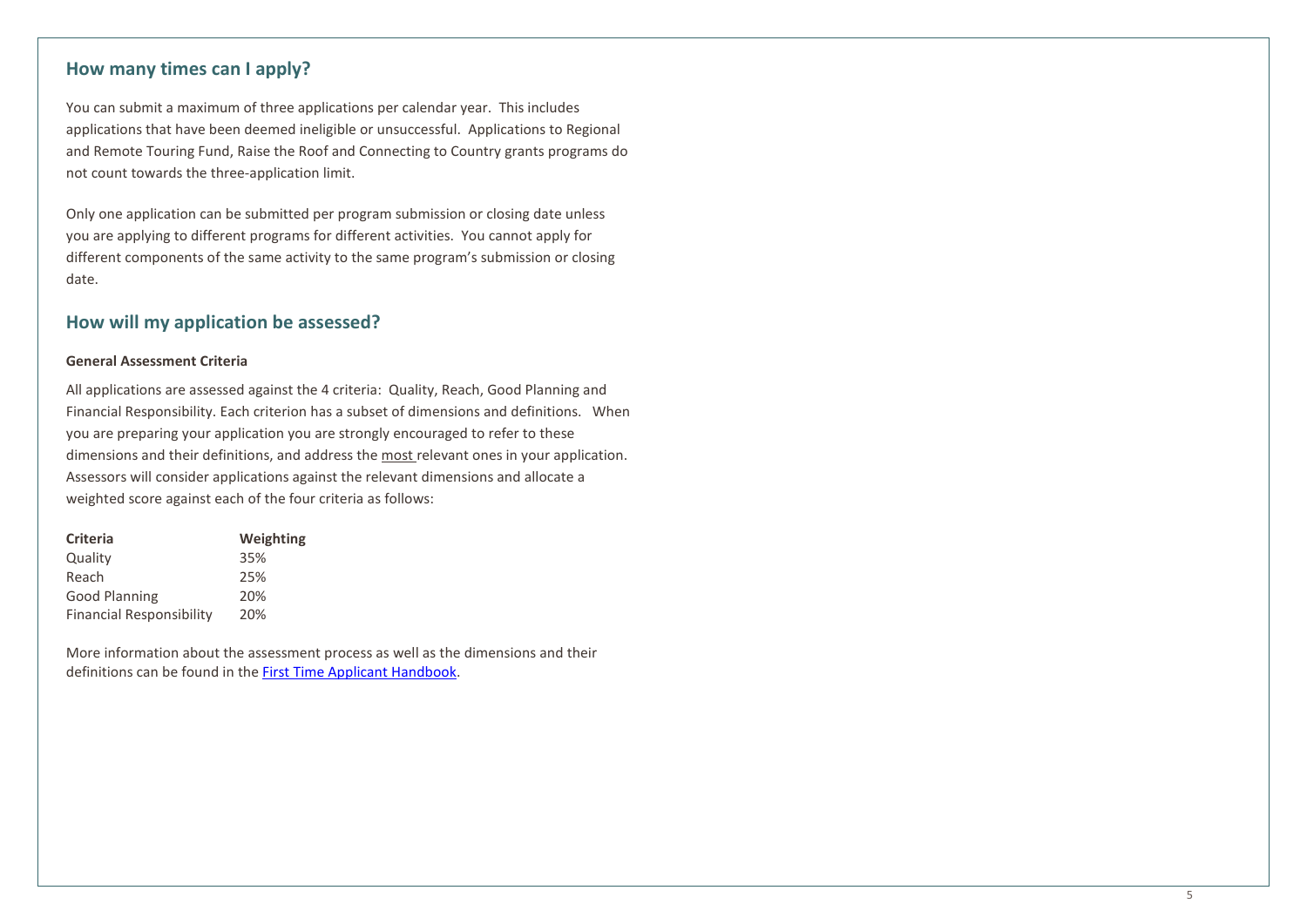#### <span id="page-4-0"></span>**How many times can I apply?**

You can submit a maximum of three applications per calendar year. This includes applications that have been deemed ineligible or unsuccessful. Applications to Regional and Remote Touring Fund, Raise the Roof and Connecting to Country grants programs do not count towards the three-application limit.

Only one application can be submitted per program submission or closing date unless you are applying to different programs for different activities. You cannot apply for different components of the same activity to the same program's submission or closing date.

#### <span id="page-4-1"></span>**How will my application be assessed?**

#### **General Assessment Criteria**

All applications are assessed against the 4 criteria: Quality, Reach, Good Planning and Financial Responsibility. Each criterion has a subset of dimensions and definitions. When you are preparing your application you are strongly encouraged to refer to these dimensions and their definitions, and address the most relevant ones in your application. Assessors will consider applications against the relevant dimensions and allocate a weighted score against each of the four criteria as follows:

| <b>Criteria</b>                 | Weighting |
|---------------------------------|-----------|
| Quality                         | 35%       |
| Reach                           | 25%       |
| Good Planning                   | 20%       |
| <b>Financial Responsibility</b> | 20%       |

More information about the assessment process as well as the dimensions and their definitions can be found in the [First Time Applicant](http://www.dca.wa.gov.au/Documents/Online_Grants/Applicant_Resources/First_Time_Applicant_Handbook.pdf) Handbook.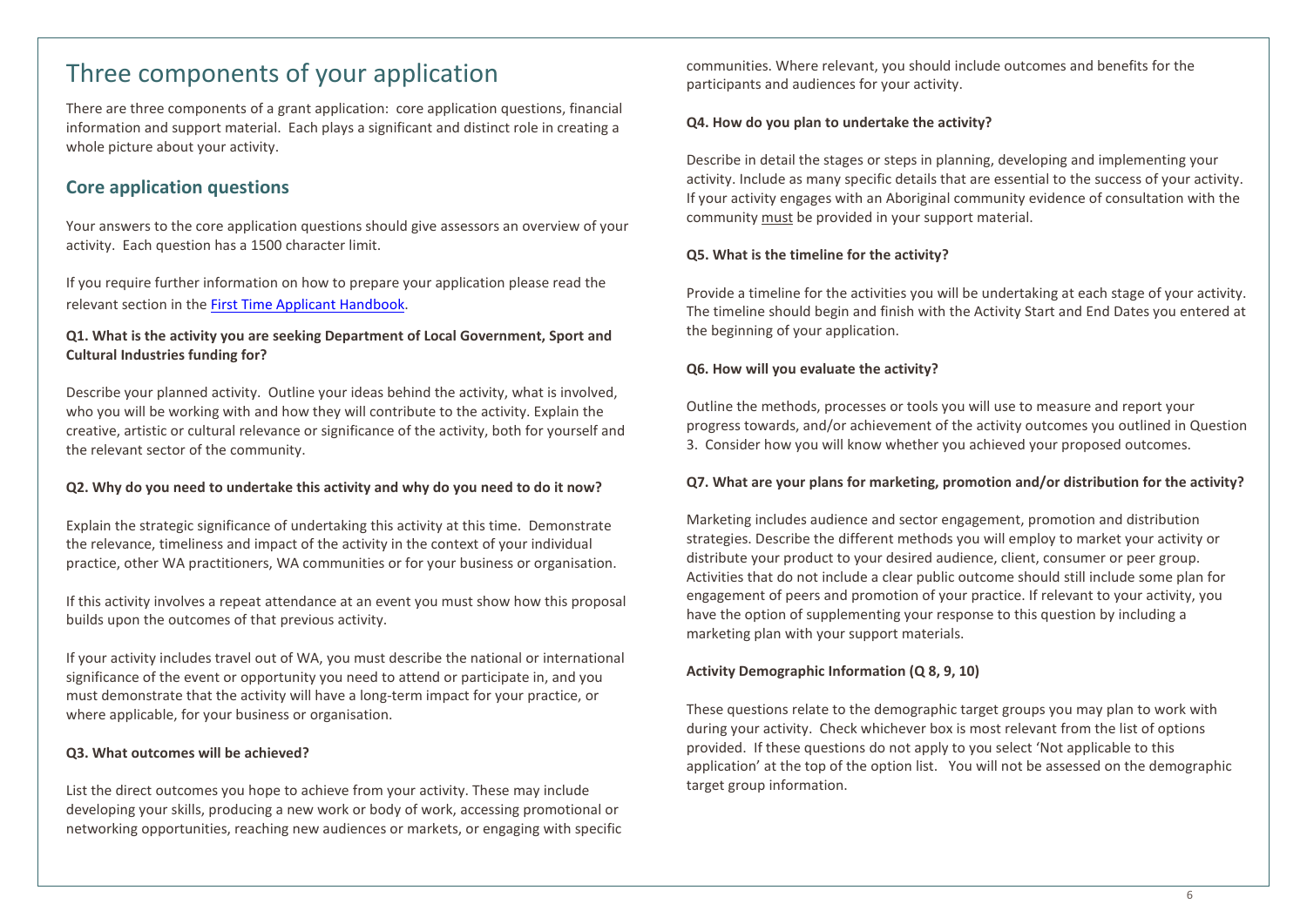## <span id="page-5-0"></span>Three components of your application

There are three components of a grant application: core application questions, financial information and support material. Each plays a significant and distinct role in creating a whole picture about your activity.

#### <span id="page-5-1"></span>**Core application questions**

Your answers to the core application questions should give assessors an overview of your activity. Each question has a 1500 character limit.

If you require further information on how to prepare your application please read the relevant section in th[e First Time Applicant](http://www.dca.wa.gov.au/Documents/Online_Grants/Applicant_Resources/First_Time_Applicant_Handbook.pdf) Handbook.

#### **Q1. What is the activity you are seeking Department of Local Government, Sport and Cultural Industries funding for?**

Describe your planned activity. Outline your ideas behind the activity, what is involved, who you will be working with and how they will contribute to the activity. Explain the creative, artistic or cultural relevance or significance of the activity, both for yourself and the relevant sector of the community.

#### **Q2. Why do you need to undertake this activity and why do you need to do it now?**

Explain the strategic significance of undertaking this activity at this time. Demonstrate the relevance, timeliness and impact of the activity in the context of your individual practice, other WA practitioners, WA communities or for your business or organisation.

If this activity involves a repeat attendance at an event you must show how this proposal builds upon the outcomes of that previous activity.

If your activity includes travel out of WA, you must describe the national or international significance of the event or opportunity you need to attend or participate in, and you must demonstrate that the activity will have a long-term impact for your practice, or where applicable, for your business or organisation.

#### **Q3. What outcomes will be achieved?**

List the direct outcomes you hope to achieve from your activity. These may include developing your skills, producing a new work or body of work, accessing promotional or networking opportunities, reaching new audiences or markets, or engaging with specific communities. Where relevant, you should include outcomes and benefits for the participants and audiences for your activity.

#### **Q4. How do you plan to undertake the activity?**

Describe in detail the stages or steps in planning, developing and implementing your activity. Include as many specific details that are essential to the success of your activity. If your activity engages with an Aboriginal community evidence of consultation with the community must be provided in your support material.

#### **Q5. What is the timeline for the activity?**

Provide a timeline for the activities you will be undertaking at each stage of your activity. The timeline should begin and finish with the Activity Start and End Dates you entered at the beginning of your application.

#### **Q6. How will you evaluate the activity?**

Outline the methods, processes or tools you will use to measure and report your progress towards, and/or achievement of the activity outcomes you outlined in Question 3. Consider how you will know whether you achieved your proposed outcomes.

#### **Q7. What are your plans for marketing, promotion and/or distribution for the activity?**

Marketing includes audience and sector engagement, promotion and distribution strategies. Describe the different methods you will employ to market your activity or distribute your product to your desired audience, client, consumer or peer group. Activities that do not include a clear public outcome should still include some plan for engagement of peers and promotion of your practice. If relevant to your activity, you have the option of supplementing your response to this question by including a marketing plan with your support materials.

#### **Activity Demographic Information (Q 8, 9, 10)**

These questions relate to the demographic target groups you may plan to work with during your activity. Check whichever box is most relevant from the list of options provided. If these questions do not apply to you select 'Not applicable to this application' at the top of the option list. You will not be assessed on the demographic target group information.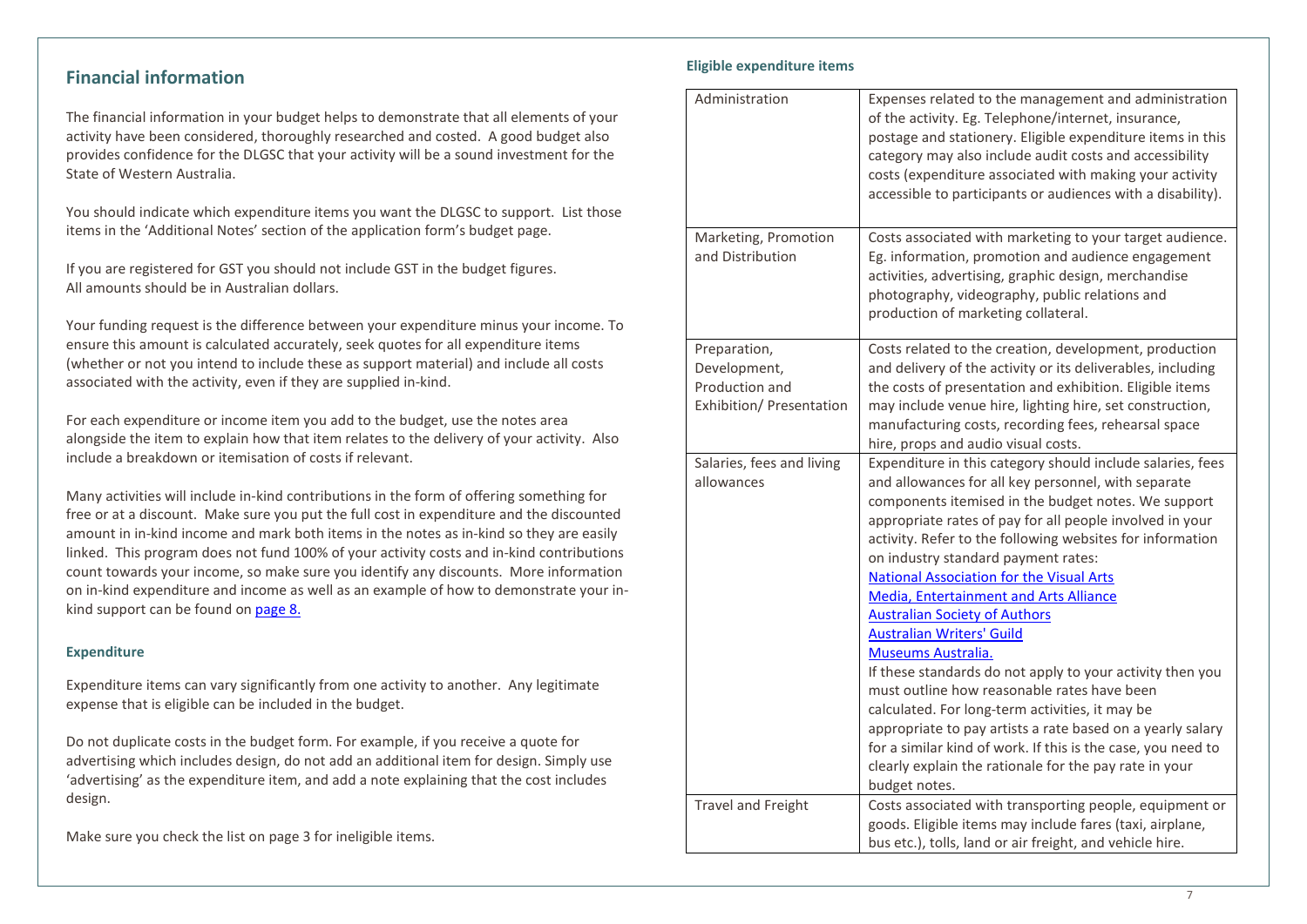#### <span id="page-6-0"></span>**Financial information**

The financial information in your budget helps to demonstrate that all elements of your activity have been considered, thoroughly researched and costed. A good budget also provides confidence for the DLGSC that your activity will be a sound investment for the State of Western Australia.

You should indicate which expenditure items you want the DLGSC to support. List those items in the 'Additional Notes' section of the application form's budget page.

If you are registered for GST you should not include GST in the budget figures. All amounts should be in Australian dollars.

Your funding request is the difference between your expenditure minus your income. To ensure this amount is calculated accurately, seek quotes for all expenditure items (whether or not you intend to include these as support material) and include all costs associated with the activity, even if they are supplied in-kind.

For each expenditure or income item you add to the budget, use the notes area alongside the item to explain how that item relates to the delivery of your activity. Also include a breakdown or itemisation of costs if relevant.

Many activities will include in-kind contributions in the form of offering something for free or at a discount. Make sure you put the full cost in expenditure and the discounted amount in in-kind income and mark both items in the notes as in-kind so they are easily linked. This program does not fund 100% of your activity costs and in-kind contributions count towards your income, so make sure you identify any discounts. More information on in-kind expenditure and income as well as an example of how to demonstrate your inkind support can be found o[n page 8.](#page-7-0) 

#### **Expenditure**

Expenditure items can vary significantly from one activity to another. Any legitimate expense that is eligible can be included in the budget.

Do not duplicate costs in the budget form. For example, if you receive a quote for advertising which includes design, do not add an additional item for design. Simply use 'advertising' as the expenditure item, and add a note explaining that the cost includes design.

Make sure you check the list on page 3 for ineligible items.

#### **Eligible expenditure items**

| Administration                                                             | Expenses related to the management and administration<br>of the activity. Eg. Telephone/internet, insurance,<br>postage and stationery. Eligible expenditure items in this<br>category may also include audit costs and accessibility<br>costs (expenditure associated with making your activity<br>accessible to participants or audiences with a disability).                                                                                                                                                                                                                                                                                                                                                                                                                                                                                                                                                        |
|----------------------------------------------------------------------------|------------------------------------------------------------------------------------------------------------------------------------------------------------------------------------------------------------------------------------------------------------------------------------------------------------------------------------------------------------------------------------------------------------------------------------------------------------------------------------------------------------------------------------------------------------------------------------------------------------------------------------------------------------------------------------------------------------------------------------------------------------------------------------------------------------------------------------------------------------------------------------------------------------------------|
| Marketing, Promotion<br>and Distribution                                   | Costs associated with marketing to your target audience.<br>Eg. information, promotion and audience engagement<br>activities, advertising, graphic design, merchandise<br>photography, videography, public relations and<br>production of marketing collateral.                                                                                                                                                                                                                                                                                                                                                                                                                                                                                                                                                                                                                                                        |
| Preparation,<br>Development,<br>Production and<br>Exhibition/ Presentation | Costs related to the creation, development, production<br>and delivery of the activity or its deliverables, including<br>the costs of presentation and exhibition. Eligible items<br>may include venue hire, lighting hire, set construction,<br>manufacturing costs, recording fees, rehearsal space<br>hire, props and audio visual costs.                                                                                                                                                                                                                                                                                                                                                                                                                                                                                                                                                                           |
| Salaries, fees and living<br>allowances                                    | Expenditure in this category should include salaries, fees<br>and allowances for all key personnel, with separate<br>components itemised in the budget notes. We support<br>appropriate rates of pay for all people involved in your<br>activity. Refer to the following websites for information<br>on industry standard payment rates:<br><b>National Association for the Visual Arts</b><br><b>Media, Entertainment and Arts Alliance</b><br><b>Australian Society of Authors</b><br><b>Australian Writers' Guild</b><br>Museums Australia.<br>If these standards do not apply to your activity then you<br>must outline how reasonable rates have been<br>calculated. For long-term activities, it may be<br>appropriate to pay artists a rate based on a yearly salary<br>for a similar kind of work. If this is the case, you need to<br>clearly explain the rationale for the pay rate in your<br>budget notes. |
| <b>Travel and Freight</b>                                                  | Costs associated with transporting people, equipment or<br>goods. Eligible items may include fares (taxi, airplane,<br>bus etc.), tolls, land or air freight, and vehicle hire.                                                                                                                                                                                                                                                                                                                                                                                                                                                                                                                                                                                                                                                                                                                                        |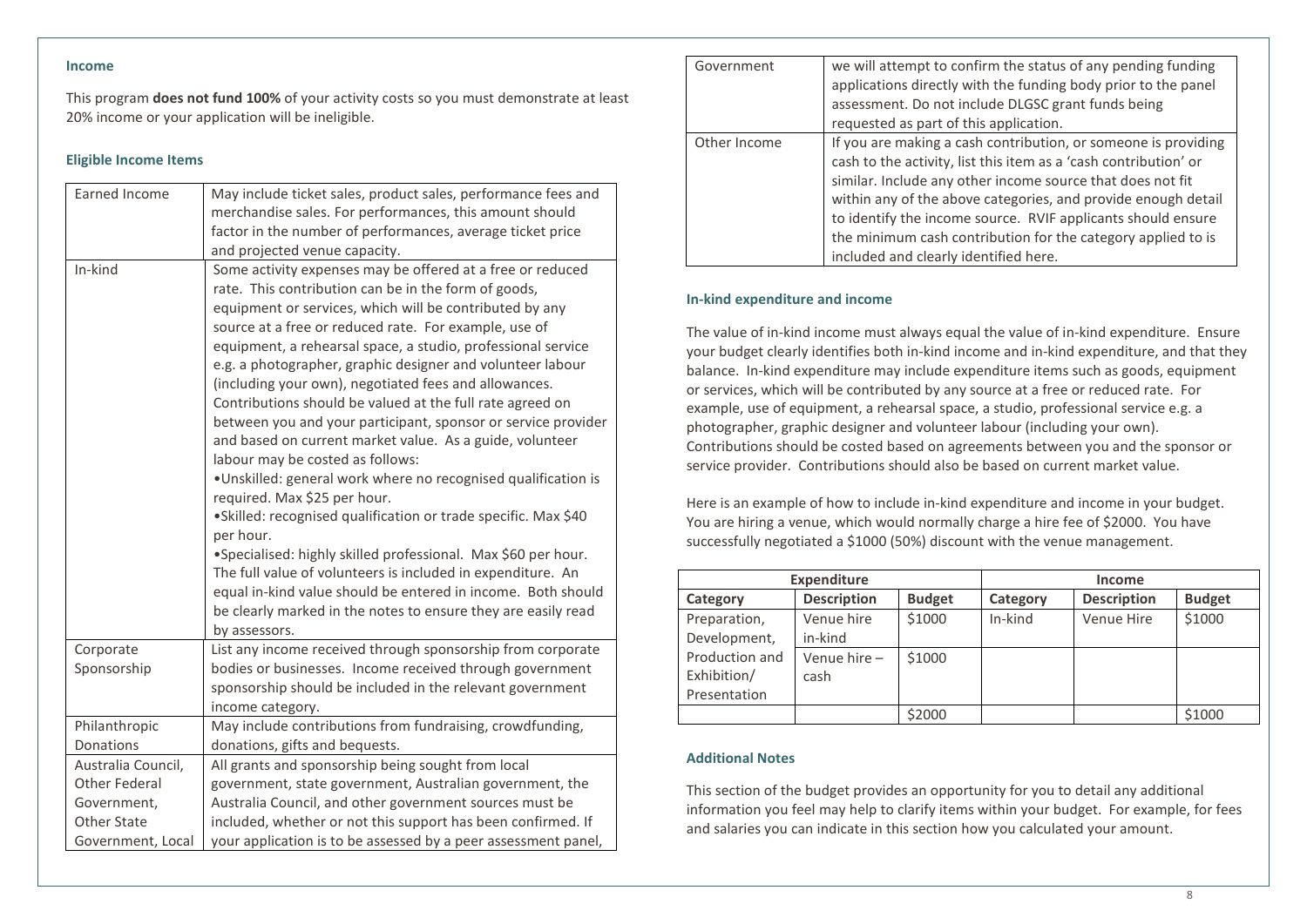#### **Income**

This program **does not fund 100%** of your activity costs so you must demonstrate at least 20% income or your application will be ineligible.

#### **Eligible Income Items**

| Earned Income        | May include ticket sales, product sales, performance fees and  |
|----------------------|----------------------------------------------------------------|
|                      | merchandise sales. For performances, this amount should        |
|                      | factor in the number of performances, average ticket price     |
|                      | and projected venue capacity.                                  |
| In-kind              | Some activity expenses may be offered at a free or reduced     |
|                      | rate. This contribution can be in the form of goods,           |
|                      | equipment or services, which will be contributed by any        |
|                      | source at a free or reduced rate. For example, use of          |
|                      | equipment, a rehearsal space, a studio, professional service   |
|                      | e.g. a photographer, graphic designer and volunteer labour     |
|                      | (including your own), negotiated fees and allowances.          |
|                      | Contributions should be valued at the full rate agreed on      |
|                      | between you and your participant, sponsor or service provider  |
|                      | and based on current market value. As a guide, volunteer       |
|                      | labour may be costed as follows:                               |
|                      | . Unskilled: general work where no recognised qualification is |
|                      | required. Max \$25 per hour.                                   |
|                      | ·Skilled: recognised qualification or trade specific. Max \$40 |
|                      | per hour.                                                      |
|                      | • Specialised: highly skilled professional. Max \$60 per hour. |
|                      | The full value of volunteers is included in expenditure. An    |
|                      | equal in-kind value should be entered in income. Both should   |
|                      | be clearly marked in the notes to ensure they are easily read  |
|                      | by assessors.                                                  |
| Corporate            | List any income received through sponsorship from corporate    |
| Sponsorship          | bodies or businesses. Income received through government       |
|                      | sponsorship should be included in the relevant government      |
|                      | income category.                                               |
| Philanthropic        | May include contributions from fundraising, crowdfunding,      |
| Donations            | donations, gifts and bequests.                                 |
| Australia Council,   | All grants and sponsorship being sought from local             |
| <b>Other Federal</b> | government, state government, Australian government, the       |
| Government,          | Australia Council, and other government sources must be        |
| <b>Other State</b>   | included, whether or not this support has been confirmed. If   |
| Government, Local    | your application is to be assessed by a peer assessment panel, |

| Government   | we will attempt to confirm the status of any pending funding<br>applications directly with the funding body prior to the panel<br>assessment. Do not include DLGSC grant funds being<br>requested as part of this application.                                                                                                                                                                                                             |
|--------------|--------------------------------------------------------------------------------------------------------------------------------------------------------------------------------------------------------------------------------------------------------------------------------------------------------------------------------------------------------------------------------------------------------------------------------------------|
| Other Income | If you are making a cash contribution, or someone is providing<br>cash to the activity, list this item as a 'cash contribution' or<br>similar. Include any other income source that does not fit<br>within any of the above categories, and provide enough detail<br>to identify the income source. RVIF applicants should ensure<br>the minimum cash contribution for the category applied to is<br>included and clearly identified here. |

#### <span id="page-7-0"></span>**In-kind expenditure and income**

The value of in-kind income must always equal the value of in-kind expenditure. Ensure your budget clearly identifies both in-kind income and in-kind expenditure, and that they balance. In-kind expenditure may include expenditure items such as goods, equipment or services, which will be contributed by any source at a free or reduced rate. For example, use of equipment, a rehearsal space, a studio, professional service e.g. a photographer, graphic designer and volunteer labour (including your own). Contributions should be costed based on agreements between you and the sponsor or service provider. Contributions should also be based on current market value.

Here is an example of how to include in-kind expenditure and income in your budget. You are hiring a venue, which would normally charge a hire fee of \$2000. You have successfully negotiated a \$1000 (50%) discount with the venue management.

| <b>Expenditure</b> |                    | <b>Income</b> |          |                    |               |
|--------------------|--------------------|---------------|----------|--------------------|---------------|
| Category           | <b>Description</b> | <b>Budget</b> | Category | <b>Description</b> | <b>Budget</b> |
| Preparation,       | Venue hire         | \$1000        | In-kind  | Venue Hire         | \$1000        |
| Development,       | in-kind            |               |          |                    |               |
| Production and     | Venue hire $-$     | \$1000        |          |                    |               |
| Exhibition/        | cash               |               |          |                    |               |
| Presentation       |                    |               |          |                    |               |
|                    |                    | \$2000        |          |                    | \$1000        |

#### **Additional Notes**

This section of the budget provides an opportunity for you to detail any additional information you feel may help to clarify items within your budget. For example, for fees and salaries you can indicate in this section how you calculated your amount.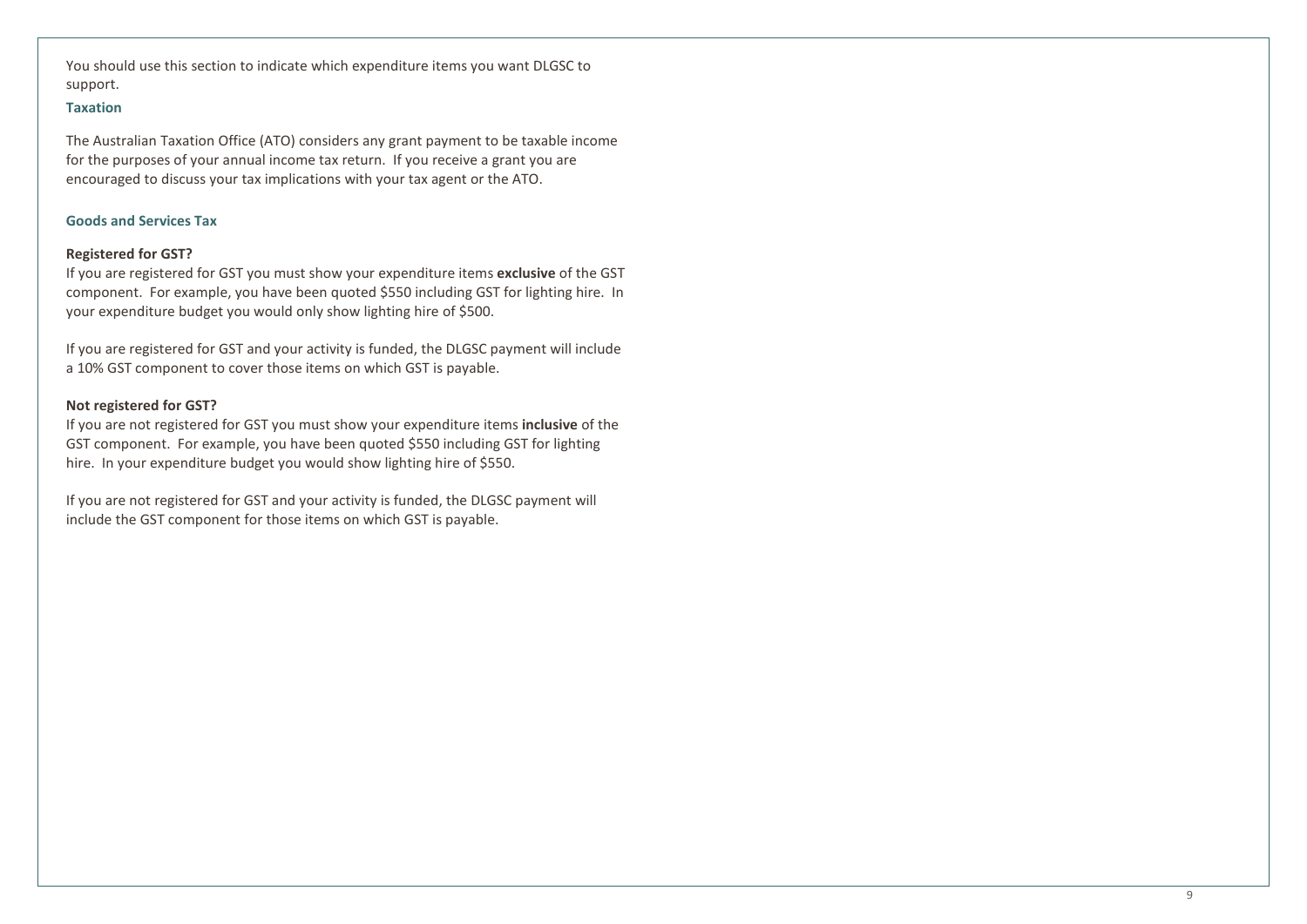You should use this section to indicate which expenditure items you want DLGSC to support.

#### **Taxation**

The Australian Taxation Office (ATO) considers any grant payment to be taxable income for the purposes of your annual income tax return. If you receive a grant you are encouraged to discuss your tax implications with your tax agent or the ATO.

#### **Goods and Services Tax**

#### **Registered for GST?**

If you are registered for GST you must show your expenditure items **exclusive** of the GST component. For example, you have been quoted \$550 including GST for lighting hire. In your expenditure budget you would only show lighting hire of \$500.

If you are registered for GST and your activity is funded, the DLGSC payment will include a 10% GST component to cover those items on which GST is payable.

#### **Not registered for GST?**

If you are not registered for GST you must show your expenditure items **inclusive** of the GST component. For example, you have been quoted \$550 including GST for lighting hire. In your expenditure budget you would show lighting hire of \$550.

If you are not registered for GST and your activity is funded, the DLGSC payment will include the GST component for those items on which GST is payable.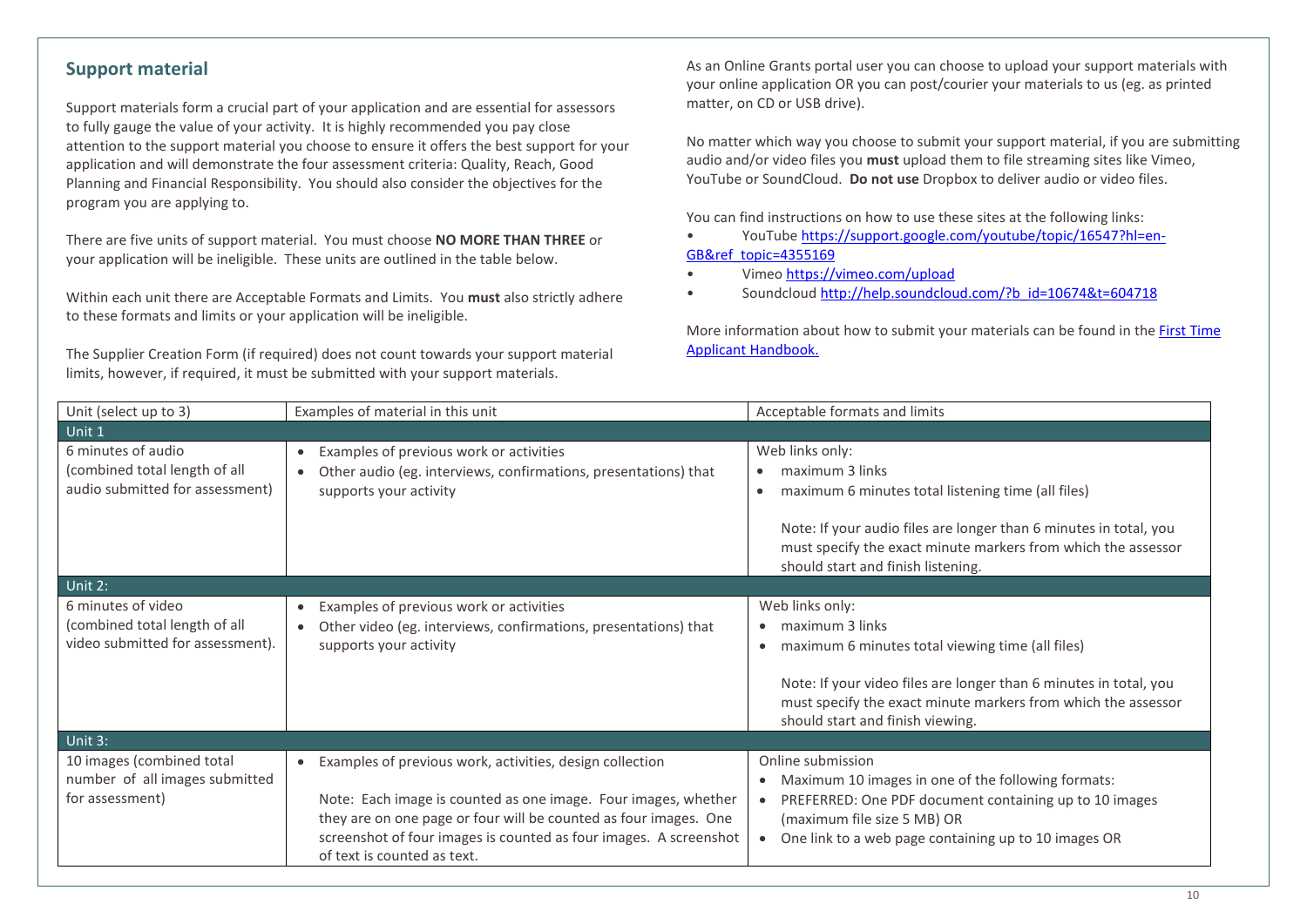#### <span id="page-9-0"></span>**Support material**

Support materials form a crucial part of your application and are essential for assessors to fully gauge the value of your activity. It is highly recommended you pay close attention to the support material you choose to ensure it offers the best support for your application and will demonstrate the four assessment criteria: Quality, Reach, Good Planning and Financial Responsibility. You should also consider the objectives for the program you are applying to.

There are five units of support material. You must choose **NO MORE THAN THREE** or your application will be ineligible. These units are outlined in the table below.

Within each unit there are Acceptable Formats and Limits. You **must** also strictly adhere to these formats and limits or your application will be ineligible.

The Supplier Creation Form (if required) does not count towards your support material limits, however, if required, it must be submitted with your support materials.

As an Online Grants portal user you can choose to upload your support materials with your online application OR you can post/courier your materials to us (eg. as printed matter, on CD or USB drive).

No matter which way you choose to submit your support material, if you are submitting audio and/or video files you **must** upload them to file streaming sites like Vimeo, YouTube or SoundCloud. **Do not use** Dropbox to deliver audio or video files.

You can find instructions on how to use these sites at the following links:

- YouTube [https://support.google.com/youtube/topic/16547?hl=en-](https://support.google.com/youtube/topic/16547?hl=en-GB&ref_topic=4355169)[GB&ref\\_topic=4355169](https://support.google.com/youtube/topic/16547?hl=en-GB&ref_topic=4355169)
- Vime[o https://vimeo.com/upload](https://vimeo.com/upload)
- Soundclou[d http://help.soundcloud.com/?b\\_id=10674&t=604718](http://help.soundcloud.com/?b_id=10674&t=604718)

More information about how to submit your materials can be found in th[e First Time](http://www.dca.wa.gov.au/Documents/Online_Grants/Applicant_Resources/First_Time_Applicant_Handbook.pdf)  Applicant [Handbook.](http://www.dca.wa.gov.au/Documents/Online_Grants/Applicant_Resources/First_Time_Applicant_Handbook.pdf)

| Unit (select up to 3)                                                                   | Examples of material in this unit                                                                                                                                                                                                                                                                  | Acceptable formats and limits                                                                                                                                                                                                                                                     |
|-----------------------------------------------------------------------------------------|----------------------------------------------------------------------------------------------------------------------------------------------------------------------------------------------------------------------------------------------------------------------------------------------------|-----------------------------------------------------------------------------------------------------------------------------------------------------------------------------------------------------------------------------------------------------------------------------------|
| Unit 1                                                                                  |                                                                                                                                                                                                                                                                                                    |                                                                                                                                                                                                                                                                                   |
| 6 minutes of audio<br>(combined total length of all<br>audio submitted for assessment)  | Examples of previous work or activities<br>Other audio (eg. interviews, confirmations, presentations) that<br>supports your activity                                                                                                                                                               | Web links only:<br>maximum 3 links<br>maximum 6 minutes total listening time (all files)<br>$\bullet$<br>Note: If your audio files are longer than 6 minutes in total, you<br>must specify the exact minute markers from which the assessor<br>should start and finish listening. |
| Unit $2$ :                                                                              |                                                                                                                                                                                                                                                                                                    |                                                                                                                                                                                                                                                                                   |
| 6 minutes of video<br>(combined total length of all<br>video submitted for assessment). | Examples of previous work or activities<br>Other video (eg. interviews, confirmations, presentations) that<br>supports your activity                                                                                                                                                               | Web links only:<br>maximum 3 links<br>maximum 6 minutes total viewing time (all files)<br>$\bullet$<br>Note: If your video files are longer than 6 minutes in total, you<br>must specify the exact minute markers from which the assessor<br>should start and finish viewing.     |
| Unit 3:                                                                                 |                                                                                                                                                                                                                                                                                                    |                                                                                                                                                                                                                                                                                   |
| 10 images (combined total<br>number of all images submitted<br>for assessment)          | Examples of previous work, activities, design collection<br>Note: Each image is counted as one image. Four images, whether<br>they are on one page or four will be counted as four images. One<br>screenshot of four images is counted as four images. A screenshot<br>of text is counted as text. | Online submission<br>Maximum 10 images in one of the following formats:<br>PREFERRED: One PDF document containing up to 10 images<br>(maximum file size 5 MB) OR<br>One link to a web page containing up to 10 images OR                                                          |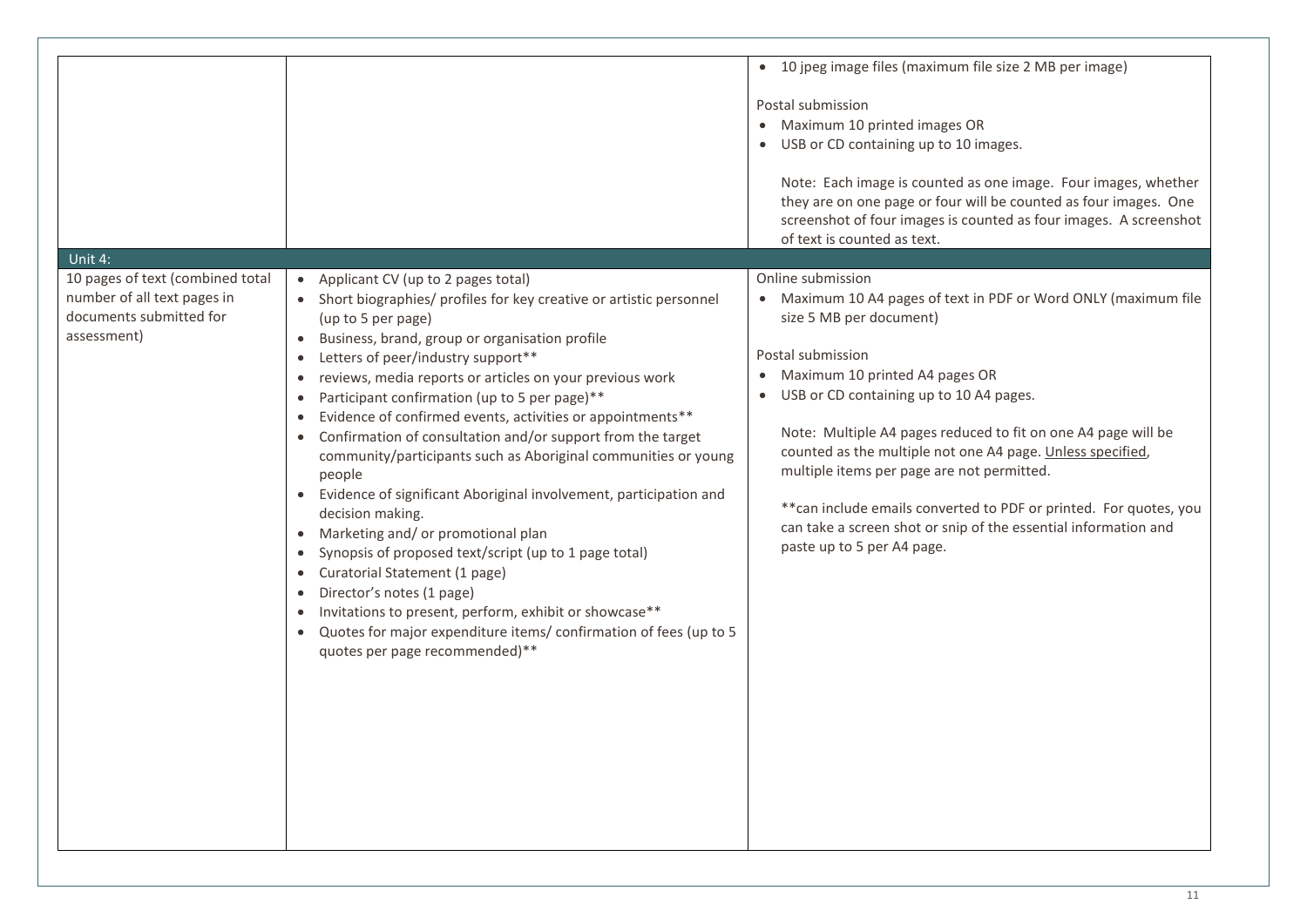| Unit 4:                                                                                                   |                                                                                                                                                                                                                                                                                                                                                                                                                                                                                                                                                                                                                                                                                                                                                                                                                                                                                                                                                                                                                                          | 10 jpeg image files (maximum file size 2 MB per image)<br>$\bullet$<br>Postal submission<br>Maximum 10 printed images OR<br>$\bullet$<br>• USB or CD containing up to 10 images.<br>Note: Each image is counted as one image. Four images, whether<br>they are on one page or four will be counted as four images. One<br>screenshot of four images is counted as four images. A screenshot<br>of text is counted as text.                                                                                                                                                                    |
|-----------------------------------------------------------------------------------------------------------|------------------------------------------------------------------------------------------------------------------------------------------------------------------------------------------------------------------------------------------------------------------------------------------------------------------------------------------------------------------------------------------------------------------------------------------------------------------------------------------------------------------------------------------------------------------------------------------------------------------------------------------------------------------------------------------------------------------------------------------------------------------------------------------------------------------------------------------------------------------------------------------------------------------------------------------------------------------------------------------------------------------------------------------|-----------------------------------------------------------------------------------------------------------------------------------------------------------------------------------------------------------------------------------------------------------------------------------------------------------------------------------------------------------------------------------------------------------------------------------------------------------------------------------------------------------------------------------------------------------------------------------------------|
| 10 pages of text (combined total<br>number of all text pages in<br>documents submitted for<br>assessment) | • Applicant CV (up to 2 pages total)<br>• Short biographies/ profiles for key creative or artistic personnel<br>(up to 5 per page)<br>• Business, brand, group or organisation profile<br>Letters of peer/industry support**<br>reviews, media reports or articles on your previous work<br>$\bullet$<br>Participant confirmation (up to 5 per page)**<br>$\bullet$<br>Evidence of confirmed events, activities or appointments**<br>$\bullet$<br>Confirmation of consultation and/or support from the target<br>community/participants such as Aboriginal communities or young<br>people<br>Evidence of significant Aboriginal involvement, participation and<br>$\bullet$<br>decision making.<br>• Marketing and/ or promotional plan<br>• Synopsis of proposed text/script (up to 1 page total)<br>• Curatorial Statement (1 page)<br>• Director's notes (1 page)<br>• Invitations to present, perform, exhibit or showcase**<br>• Quotes for major expenditure items/confirmation of fees (up to 5<br>quotes per page recommended)** | Online submission<br>Maximum 10 A4 pages of text in PDF or Word ONLY (maximum file<br>size 5 MB per document)<br>Postal submission<br>Maximum 10 printed A4 pages OR<br>$\bullet$<br>USB or CD containing up to 10 A4 pages.<br>$\bullet$<br>Note: Multiple A4 pages reduced to fit on one A4 page will be<br>counted as the multiple not one A4 page. Unless specified,<br>multiple items per page are not permitted.<br>** can include emails converted to PDF or printed. For quotes, you<br>can take a screen shot or snip of the essential information and<br>paste up to 5 per A4 page. |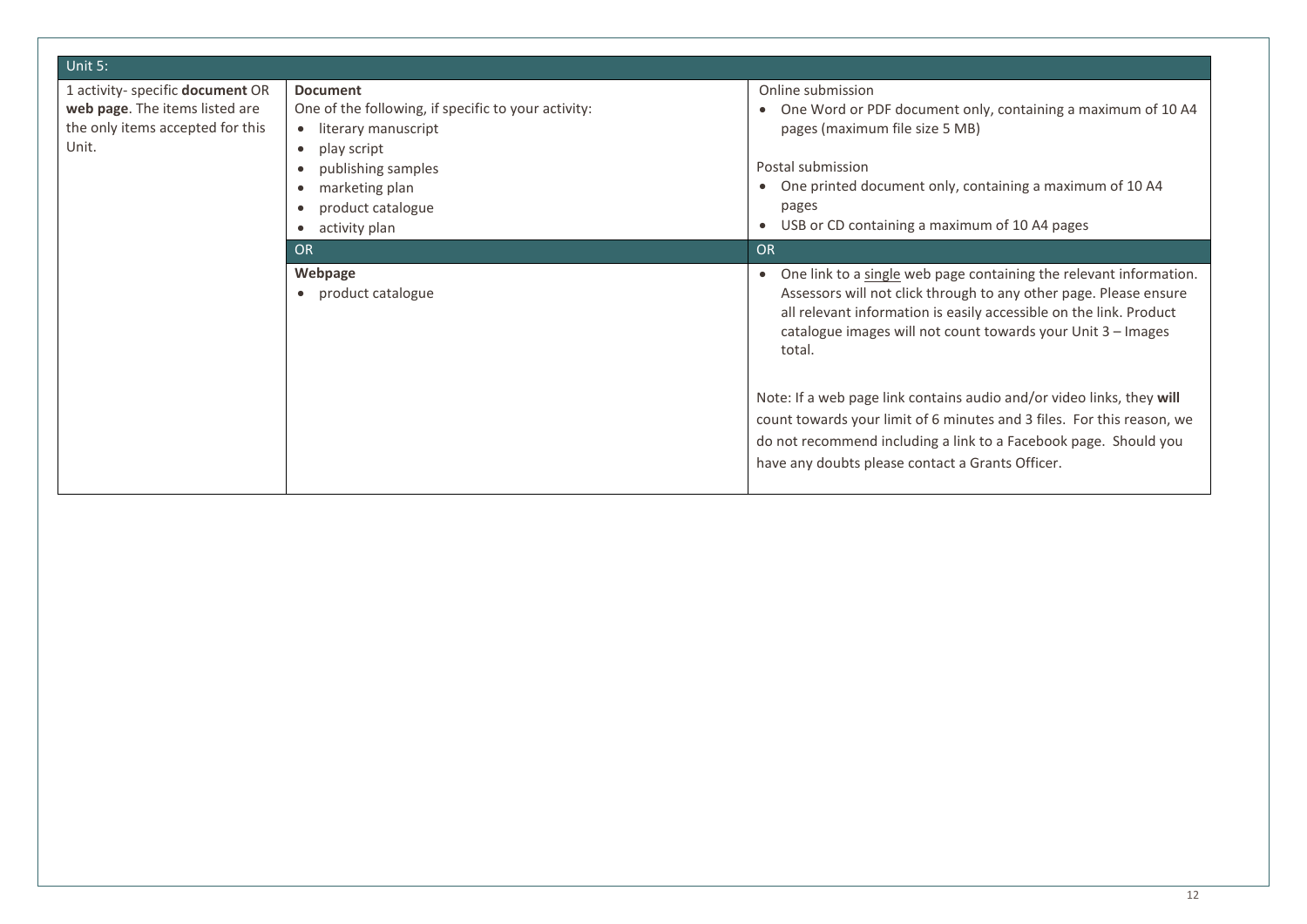| Unit 5:                                                                                                         |                                                                                                                                                                                                                                   |                                                                                                                                                                                                                                                                                                      |
|-----------------------------------------------------------------------------------------------------------------|-----------------------------------------------------------------------------------------------------------------------------------------------------------------------------------------------------------------------------------|------------------------------------------------------------------------------------------------------------------------------------------------------------------------------------------------------------------------------------------------------------------------------------------------------|
| 1 activity- specific document OR<br>web page. The items listed are<br>the only items accepted for this<br>Unit. | <b>Document</b><br>One of the following, if specific to your activity:<br>literary manuscript<br>play script<br>$\bullet$<br>publishing samples<br>marketing plan<br>$\bullet$<br>product catalogue<br>activity plan<br>$\bullet$ | Online submission<br>One Word or PDF document only, containing a maximum of 10 A4<br>$\bullet$<br>pages (maximum file size 5 MB)<br>Postal submission<br>One printed document only, containing a maximum of 10 A4<br>$\bullet$<br>pages<br>USB or CD containing a maximum of 10 A4 pages             |
|                                                                                                                 | <b>OR</b>                                                                                                                                                                                                                         | <b>OR</b>                                                                                                                                                                                                                                                                                            |
|                                                                                                                 | Webpage<br>product catalogue<br>$\bullet$                                                                                                                                                                                         | One link to a single web page containing the relevant information.<br>$\bullet$<br>Assessors will not click through to any other page. Please ensure<br>all relevant information is easily accessible on the link. Product<br>catalogue images will not count towards your Unit 3 - Images<br>total. |
|                                                                                                                 |                                                                                                                                                                                                                                   | Note: If a web page link contains audio and/or video links, they will<br>count towards your limit of 6 minutes and 3 files. For this reason, we<br>do not recommend including a link to a Facebook page. Should you<br>have any doubts please contact a Grants Officer.                              |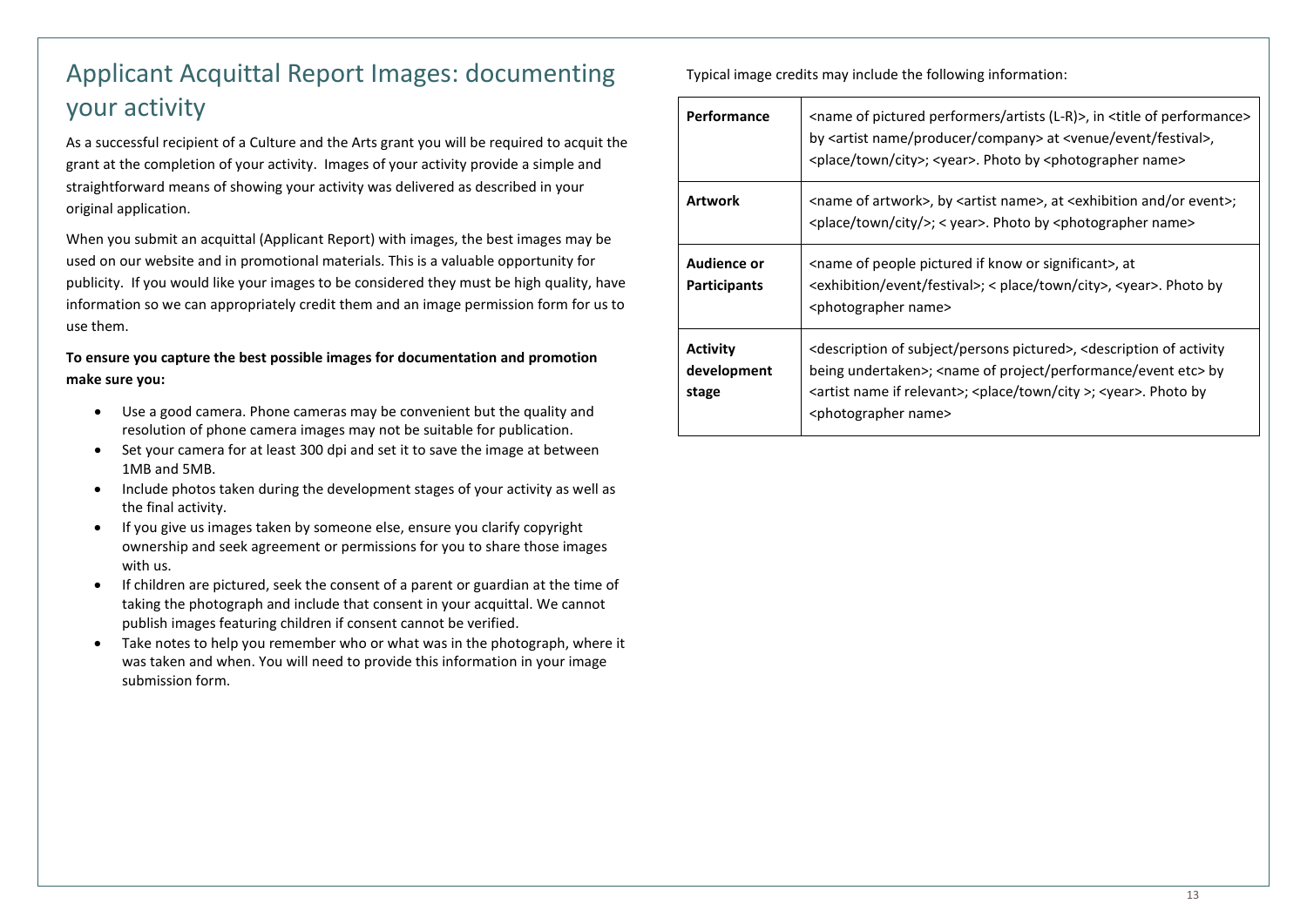## <span id="page-12-0"></span>Applicant Acquittal Report Images: documenting your activity

As a successful recipient of a Culture and the Arts grant you will be required to acquit the grant at the completion of your activity. Images of your activity provide a simple and straightforward means of showing your activity was delivered as described in your original application.

When you submit an acquittal (Applicant Report) with images, the best images may be used on our website and in promotional materials. This is a valuable opportunity for publicity. If you would like your images to be considered they must be high quality, have information so we can appropriately credit them and an image permission form for us to use them.

**To ensure you capture the best possible images for documentation and promotion make sure you:** 

- Use a good camera. Phone cameras may be convenient but the quality and resolution of phone camera images may not be suitable for publication.
- Set your camera for at least 300 dpi and set it to save the image at between 1MB and 5MB.
- Include photos taken during the development stages of your activity as well as the final activity.
- If you give us images taken by someone else, ensure you clarify copyright ownership and seek agreement or permissions for you to share those images with us.
- If children are pictured, seek the consent of a parent or guardian at the time of taking the photograph and include that consent in your acquittal. We cannot publish images featuring children if consent cannot be verified.
- Take notes to help you remember who or what was in the photograph, where it was taken and when. You will need to provide this information in your image submission form.

Typical image credits may include the following information:

<span id="page-12-1"></span>

| Performance                               | <name (l-r)="" artists="" of="" performers="" pictured="">, in <title of="" performance=""><br/>by <artist company="" name="" producer=""> at <venue event="" festival="">,<br/><place city="" town="">; <year>. Photo by <photographer name=""></photographer></year></place></venue></artist></title></name>                                                  |
|-------------------------------------------|-----------------------------------------------------------------------------------------------------------------------------------------------------------------------------------------------------------------------------------------------------------------------------------------------------------------------------------------------------------------|
| <b>Artwork</b>                            | <name artwork="" of="">, by <artist name="">, at <exhibition and="" event="" or="">;<br/><place city="" town=""></place>; &lt; year&gt;. Photo by <photographer name=""></photographer></exhibition></artist></name>                                                                                                                                            |
| <b>Audience or</b><br><b>Participants</b> | <name if="" know="" of="" or="" people="" pictured="" significant="">, at<br/><exhibition event="" festival="">; &lt; place/town/city&gt;, <year>. Photo by<br/><photographer name=""></photographer></year></exhibition></name>                                                                                                                                |
| <b>Activity</b><br>development<br>stage   | <description of="" persons="" pictured="" subject="">, <description activity<br="" of="">being undertaken&gt;; <name etc="" event="" of="" performance="" project=""> by<br/><artist if="" name="" relevant="">; <place city="" town="">; <year>. Photo by<br/><photographer name=""></photographer></year></place></artist></name></description></description> |